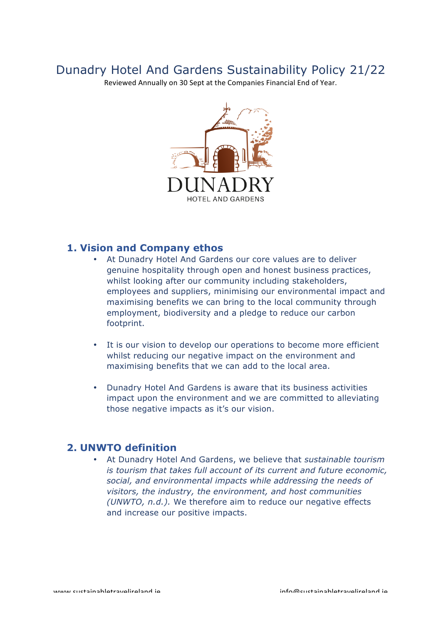# Dunadry Hotel And Gardens Sustainability Policy 21/22

Reviewed Annually on 30 Sept at the Companies Financial End of Year.



### **1. Vision and Company ethos**

- At Dunadry Hotel And Gardens our core values are to deliver genuine hospitality through open and honest business practices, whilst looking after our community including stakeholders, employees and suppliers, minimising our environmental impact and maximising benefits we can bring to the local community through employment, biodiversity and a pledge to reduce our carbon footprint.
- It is our vision to develop our operations to become more efficient whilst reducing our negative impact on the environment and maximising benefits that we can add to the local area.
- Dunadry Hotel And Gardens is aware that its business activities impact upon the environment and we are committed to alleviating those negative impacts as it's our vision.

### **2. UNWTO definition**

• At Dunadry Hotel And Gardens, we believe that *sustainable tourism is tourism that takes full account of its current and future economic, social, and environmental impacts while addressing the needs of visitors, the industry, the environment, and host communities (UNWTO, n.d.).* We therefore aim to reduce our negative effects and increase our positive impacts.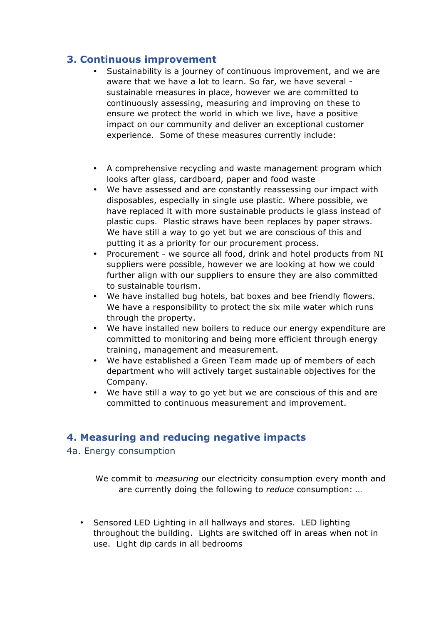# **3. Continuous improvement**

- Sustainability is a journey of continuous improvement, and we are aware that we have a lot to learn. So far, we have several sustainable measures in place, however we are committed to continuously assessing, measuring and improving on these to ensure we protect the world in which we live, have a positive impact on our community and deliver an exceptional customer experience. Some of these measures currently include:
- A comprehensive recycling and waste management program which looks after glass, cardboard, paper and food waste
- We have assessed and are constantly reassessing our impact with disposables, especially in single use plastic. Where possible, we have replaced it with more sustainable products ie glass instead of plastic cups. Plastic straws have been replaces by paper straws. We have still a way to go yet but we are conscious of this and putting it as a priority for our procurement process.
- Procurement we source all food, drink and hotel products from NI suppliers were possible, however we are looking at how we could further align with our suppliers to ensure they are also committed to sustainable tourism.
- We have installed bug hotels, bat boxes and bee friendly flowers. We have a responsibility to protect the six mile water which runs through the property.
- We have installed new boilers to reduce our energy expenditure are committed to monitoring and being more efficient through energy training, management and measurement.
- We have established a Green Team made up of members of each department who will actively target sustainable objectives for the Company.
- We have still a way to go yet but we are conscious of this and are committed to continuous measurement and improvement.

# **4. Measuring and reducing negative impacts**

4a. Energy consumption

We commit to *measuring* our electricity consumption every month and are currently doing the following to *reduce* consumption: …

• Sensored LED Lighting in all hallways and stores. LED lighting throughout the building. Lights are switched off in areas when not in use. Light dip cards in all bedrooms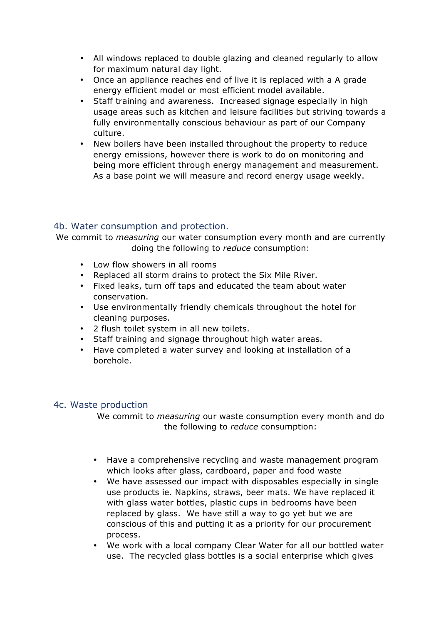- All windows replaced to double glazing and cleaned regularly to allow for maximum natural day light.
- Once an appliance reaches end of live it is replaced with a A grade energy efficient model or most efficient model available.
- Staff training and awareness. Increased signage especially in high usage areas such as kitchen and leisure facilities but striving towards a fully environmentally conscious behaviour as part of our Company culture.
- New boilers have been installed throughout the property to reduce energy emissions, however there is work to do on monitoring and being more efficient through energy management and measurement. As a base point we will measure and record energy usage weekly.

#### 4b. Water consumption and protection.

We commit to *measuring* our water consumption every month and are currently doing the following to *reduce* consumption:

- Low flow showers in all rooms
- Replaced all storm drains to protect the Six Mile River.
- Fixed leaks, turn off taps and educated the team about water conservation.
- Use environmentally friendly chemicals throughout the hotel for cleaning purposes.
- 2 flush toilet system in all new toilets.
- Staff training and signage throughout high water areas.
- Have completed a water survey and looking at installation of a borehole.

#### 4c. Waste production

We commit to *measuring* our waste consumption every month and do the following to *reduce* consumption:

- Have a comprehensive recycling and waste management program which looks after glass, cardboard, paper and food waste
- We have assessed our impact with disposables especially in single use products ie. Napkins, straws, beer mats. We have replaced it with glass water bottles, plastic cups in bedrooms have been replaced by glass. We have still a way to go yet but we are conscious of this and putting it as a priority for our procurement process.
- We work with a local company Clear Water for all our bottled water use. The recycled glass bottles is a social enterprise which gives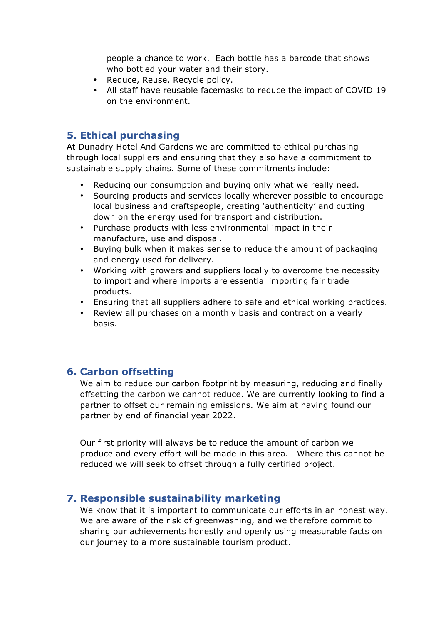people a chance to work. Each bottle has a barcode that shows who bottled your water and their story.

- Reduce, Reuse, Recycle policy.
- All staff have reusable facemasks to reduce the impact of COVID 19 on the environment.

# **5. Ethical purchasing**

At Dunadry Hotel And Gardens we are committed to ethical purchasing through local suppliers and ensuring that they also have a commitment to sustainable supply chains. Some of these commitments include:

- Reducing our consumption and buying only what we really need.
- Sourcing products and services locally wherever possible to encourage local business and craftspeople, creating 'authenticity' and cutting down on the energy used for transport and distribution.
- Purchase products with less environmental impact in their manufacture, use and disposal.
- Buying bulk when it makes sense to reduce the amount of packaging and energy used for delivery.
- Working with growers and suppliers locally to overcome the necessity to import and where imports are essential importing fair trade products.
- Ensuring that all suppliers adhere to safe and ethical working practices.
- Review all purchases on a monthly basis and contract on a yearly basis.

# **6. Carbon offsetting**

We aim to reduce our carbon footprint by measuring, reducing and finally offsetting the carbon we cannot reduce. We are currently looking to find a partner to offset our remaining emissions. We aim at having found our partner by end of financial year 2022.

Our first priority will always be to reduce the amount of carbon we produce and every effort will be made in this area. Where this cannot be reduced we will seek to offset through a fully certified project.

# **7. Responsible sustainability marketing**

We know that it is important to communicate our efforts in an honest way. We are aware of the risk of greenwashing, and we therefore commit to sharing our achievements honestly and openly using measurable facts on our journey to a more sustainable tourism product.